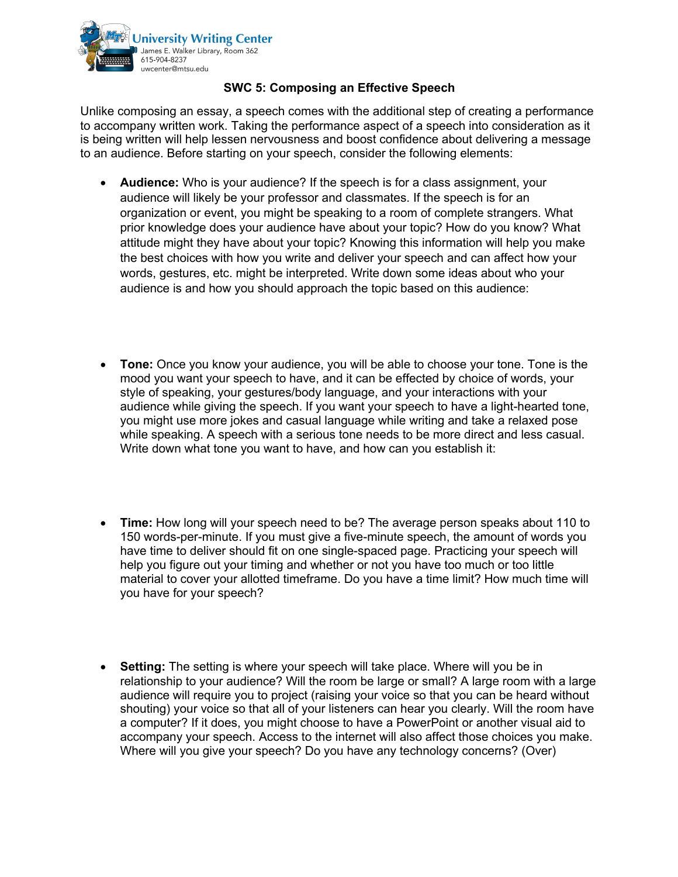

## **SWC 5: Composing an Effective Speech**

Unlike composing an essay, a speech comes with the additional step of creating a performance to accompany written work. Taking the performance aspect of a speech into consideration as it is being written will help lessen nervousness and boost confidence about delivering a message to an audience. Before starting on your speech, consider the following elements:

- **Audience:** Who is your audience? If the speech is for a class assignment, your audience will likely be your professor and classmates. If the speech is for an organization or event, you might be speaking to a room of complete strangers. What prior knowledge does your audience have about your topic? How do you know? What attitude might they have about your topic? Knowing this information will help you make the best choices with how you write and deliver your speech and can affect how your words, gestures, etc. might be interpreted. Write down some ideas about who your audience is and how you should approach the topic based on this audience:
- **Tone:** Once you know your audience, you will be able to choose your tone. Tone is the mood you want your speech to have, and it can be effected by choice of words, your style of speaking, your gestures/body language, and your interactions with your audience while giving the speech. If you want your speech to have a light-hearted tone, you might use more jokes and casual language while writing and take a relaxed pose while speaking. A speech with a serious tone needs to be more direct and less casual. Write down what tone you want to have, and how can you establish it:
- **Time:** How long will your speech need to be? The average person speaks about 110 to 150 words-per-minute. If you must give a five-minute speech, the amount of words you have time to deliver should fit on one single-spaced page. Practicing your speech will help you figure out your timing and whether or not you have too much or too little material to cover your allotted timeframe. Do you have a time limit? How much time will you have for your speech?
- **Setting:** The setting is where your speech will take place. Where will you be in relationship to your audience? Will the room be large or small? A large room with a large audience will require you to project (raising your voice so that you can be heard without shouting) your voice so that all of your listeners can hear you clearly. Will the room have a computer? If it does, you might choose to have a PowerPoint or another visual aid to accompany your speech. Access to the internet will also affect those choices you make. Where will you give your speech? Do you have any technology concerns? (Over)